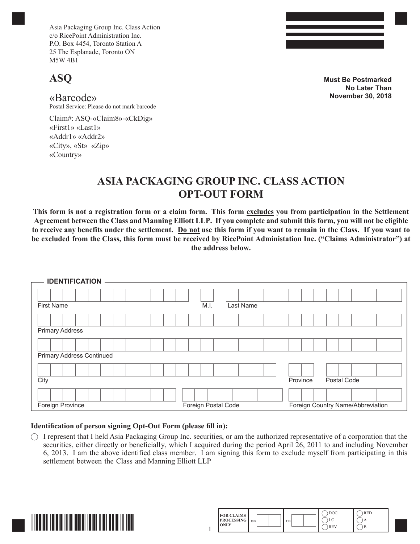Asia Packaging Group Inc. Class Action c/o RicePoint Administration Inc. P.O. Box 4454, Toronto Station A 25 The Esplanade, Toronto ON M5W 4B1

## **ASQ**

«Barcode»

Postal Service: Please do not mark barcode

Claim#: ASQ-«Claim8»-«CkDig» «First1» «Last1» «Addr1» «Addr2» «City», «St» «Zip» «Country»

**Must Be Postmarked No Later Than November 30, 2018**

## **ASIA PACKAGING GROUP INC. CLASS ACTION OPT-OUT FORM**

**This form is not a registration form or a claim form. This form excludes you from participation in the Settlement Agreement between the Class and Manning Elliott LLP. If you complete and submit this form, you will not be eligible to receive any benefits under the settlement. Do not use this form if you want to remain in the Class. If you want to be excluded from the Class, this form must be received by RicePoint Administation Inc. ("Claims Administrator") at the address below.**

| <b>IDENTIFICATION</b>            |                     |           |          |                                   |
|----------------------------------|---------------------|-----------|----------|-----------------------------------|
| <b>First Name</b>                | M.I.                | Last Name |          |                                   |
|                                  |                     |           |          |                                   |
| <b>Primary Address</b>           |                     |           |          |                                   |
|                                  |                     |           |          |                                   |
| <b>Primary Address Continued</b> |                     |           |          |                                   |
|                                  |                     |           |          |                                   |
| City                             |                     |           | Province | Postal Code                       |
|                                  |                     |           |          |                                   |
| Foreign Province                 | Foreign Postal Code |           |          | Foreign Country Name/Abbreviation |

## **Identification of person signing Opt-Out Form (please fill in):**

 $\bigcap$  I represent that I held Asia Packaging Group Inc. securities, or am the authorized representative of a corporation that the securities, either directly or beneficially, which I acquired during the period April 26, 2011 to and including November 6, 2013. I am the above identified class member. I am signing this form to exclude myself from participating in this settlement between the Class and Manning Elliott LLP